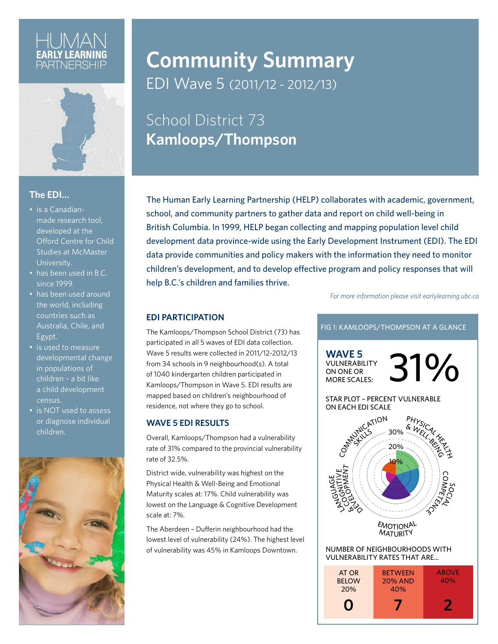

#### **The EDI…**

- is a Canadianmade research tool, developed at the Offord Centre for Child Studies at McMaster University.
- has been used in B.C. since 1999.
- has been used around the world, including countries such as Australia, Chile, and Egypt.
- is used to measure developmental change in populations of children – a bit like a child development census.
- is NOT used to assess or diagnose individual children.



## **Community Summary** EDI Wave 5 (2011/12 - 2012/13)

## School District 73 **Kamloops/Thompson**

The Human Early Learning Partnership (HELP) collaborates with academic, government, school, and community partners to gather data and report on child well-being in British Columbia. In 1999, HELP began collecting and mapping population level child development data province-wide using the Early Development Instrument (EDI). The EDI data provide communities and policy makers with the information they need to monitor children's development, and to develop effective program and policy responses that will help B.C.'s children and families thrive.

*For more information please visit earlylearning.ubc.ca*

#### **EDI PARTICIPATION**

The Kamloops/Thompson School District (73) has participated in all 5 waves of EDI data collection. Wave 5 results were collected in 2011/12-2012/13 from 34 schools in 9 neighbourhood(s). A total of 1040 kindergarten children participated in Kamloops/Thompson in Wave 5. EDI results are mapped based on children's neighbourhood of residence, not where they go to school.

#### **WAVE 5 EDI RESULTS**

Overall, Kamloops/Thompson had a vulnerability rate of 31% compared to the provincial vulnerability rate of 32.5%.

District wide, vulnerability was highest on the Physical Health & Well-Being and Emotional Maturity scales at: 17%. Child vulnerability was lowest on the Language & Cognitive Development scale at: 7%.

The Aberdeen – Dufferin neighbourhood had the lowest level of vulnerability (24%). The highest level of vulnerability was 45% in Kamloops Downtown.

#### FIG 1: KAMLOOPS/THOMPSON AT A GLANCE

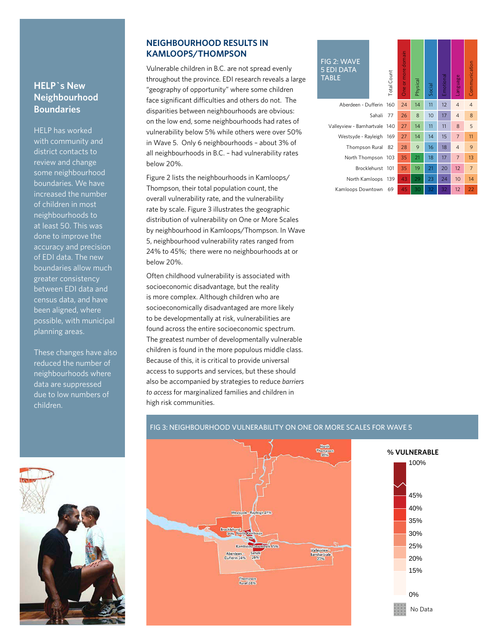#### **HELP`s New Neighbourhood Boundaries**

HELP has worked with community and district contacts to review and change some neighbourhood boundaries. We have increased the number of children in most neighbourhoods to at least 50. This was done to improve the accuracy and precision of EDI data. The new boundaries allow much greater consistency between EDI data and census data, and have been aligned, where possible, with municipal planning areas.

These changes have also reduced the number of neighbourhoods where data are suppressed due to low numbers of children.

#### **NEIGHBOURHOOD RESULTS IN KAMLOOPS/THOMPSON**

Vulnerable children in B.C. are not spread evenly throughout the province. EDI research reveals a large "geography of opportunity" where some children face significant difficulties and others do not. The disparities between neighbourhoods are obvious: on the low end, some neighbourhoods had rates of vulnerability below 5% while others were over 50% in Wave 5. Only 6 neighbourhoods – about 3% of all neighbourhoods in B.C. – had vulnerability rates below 20%.

Figure 2 lists the neighbourhoods in Kamloops/ Thompson, their total population count, the overall vulnerability rate, and the vulnerability rate by scale. Figure 3 illustrates the geographic distribution of vulnerability on One or More Scales by neighbourhood in Kamloops/Thompson. In Wave 5, neighbourhood vulnerability rates ranged from 24% to 45%; there were no neighbourhoods at or below 20%.

Often childhood vulnerability is associated with socioeconomic disadvantage, but the reality is more complex. Although children who are socioeconomically disadvantaged are more likely to be developmentally at risk, vulnerabilities are found across the entire socioeconomic spectrum. The greatest number of developmentally vulnerable children is found in the more populous middle class. Because of this, it is critical to provide universal access to supports and services, but these should also be accompanied by strategies to reduce *barriers to access* for marginalized families and children in high risk communities.

#### FIG 2: WAVE 5 EDI DATA TABLE

| Aberdeen - Dufferin 16       |  |
|------------------------------|--|
| Sahali 7                     |  |
| Valleyview - Barnhartvale 14 |  |
| Westsyde - Rayleigh 16       |  |
| Thompson Rural 8             |  |
| North Thompson 10            |  |
| Brocklehurst 10              |  |
| North Kamloops 13            |  |
| Kamloops Downtown 6          |  |

| 3 2: WAVE<br><b>DI DATA</b><br>ιBLE |              | Total Count | One or more domain | Physical | Social | Emotional | anguage        | Communication  |
|-------------------------------------|--------------|-------------|--------------------|----------|--------|-----------|----------------|----------------|
| Aberdeen - Dufferin                 |              | 160         | 24                 | 14       | 11     | 12        | $\overline{4}$ | $\overline{4}$ |
|                                     | Sahali       | 77          | 26                 | 8        | 10     | 17        | $\overline{4}$ | 8              |
| Valleyview - Barnhartvale           |              | 140         | 27                 | 14       | 11     | 11        | 8              | 5              |
| Westsyde - Rayleigh                 |              | 169         | 27                 | 14       | 14     | 15        | $\overline{7}$ | 11             |
| Thompson Rural                      |              | 82          | 28                 | 9        | 16     | 18        | $\overline{4}$ | 9              |
| North Thompson                      |              | 103         | 35                 | 21       | 18     | 17        | 7              | 13             |
|                                     | Brocklehurst | 101         | 35                 | 19       | 21     | 20        | 12             | $\overline{7}$ |
| North Kamloops                      |              | 139         | 43                 | 29       | 23     | 24        | 10             | 14             |
| Kamloops Downtown                   |              | 69          | 45                 | 30       | 32     | 32        | 12             | 22             |
|                                     |              |             |                    |          |        |           |                |                |

### FIG 3: NEIGHBOURHOOD VULNERABILITY ON ONE OR MORE SCALES FOR WAVE 5



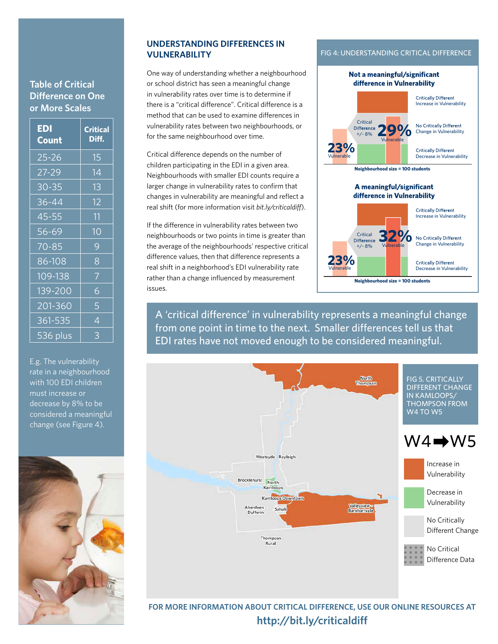#### **Table of Critical Difference on One or More Scales**

| <b>EDI</b><br><b>Count</b>   | <b>Critical</b><br>Diff. |
|------------------------------|--------------------------|
| 25-26                        | 15                       |
| 27-29                        | 14                       |
| $30 - 35$                    | 13                       |
| 36-44                        | 12                       |
| 45-55                        | 11                       |
| 56-69                        | 10                       |
| 70-85                        | 9                        |
| 86-108                       | 8                        |
| 109-138                      | $\overline{7}$           |
| 139-200                      | 6                        |
| 201-360                      | 5                        |
| 361-535                      | 4                        |
| <del>53</del> 6 pl <u>us</u> | 3                        |

E.g. The vulnerability rate in a neighbourhood with 100 EDI children must increase or decrease by 8% to be considered a meaningful change (see Figure 4).



#### **UNDERSTANDING DIFFERENCES IN VULNERABILITY**

One way of understanding whether a neighbourhood or school district has seen a meaningful change in vulnerability rates over time is to determine if there is a "critical difference". Critical difference is a method that can be used to examine differences in vulnerability rates between two neighbourhoods, or for the same neighbourhood over time.

Critical difference depends on the number of children participating in the EDI in a given area. Neighbourhoods with smaller EDI counts require a larger change in vulnerability rates to confirm that changes in vulnerability are meaningful and reflect a real shift (for more information visit *bit.ly/criticaldiff*).

If the difference in vulnerability rates between two neighbourhoods or two points in time is greater than the average of the neighbourhoods' respective critical difference values, then that difference represents a real shift in a neighborhood's EDI vulnerability rate rather than a change influenced by measurement issues.

#### FIG 4: UNDERSTANDING CRITICAL DIFFERENCE



A 'critical difference' in vulnerability represents a meaningful change from one point in time to the next. Smaller differences tell us that EDI rates have not moved enough to be considered meaningful.



**FOR MORE INFORMATION ABOUT CRITICAL DIFFERENCE, USE OUR ONLINE RESOURCES AT http://bit.ly/criticaldiff**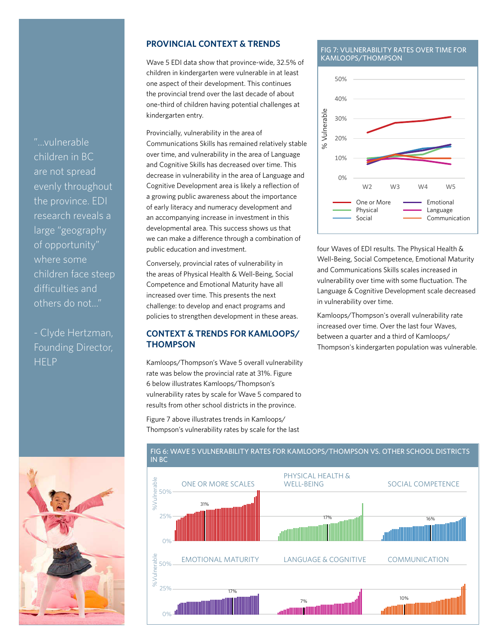"...vulnerable children in BC are not spread evenly throughout the province. EDI research reveals a large "geography of opportunity" where some children face steep difficulties and others do not..."

- Clyde Hertzman, Founding Director, **HELP** 

#### **PROVINCIAL CONTEXT & TRENDS**

Wave 5 EDI data show that province-wide, 32.5% of children in kindergarten were vulnerable in at least one aspect of their development. This continues the provincial trend over the last decade of about one-third of children having potential challenges at kindergarten entry.

Provincially, vulnerability in the area of Communications Skills has remained relatively stable over time, and vulnerability in the area of Language and Cognitive Skills has decreased over time. This decrease in vulnerability in the area of Language and Cognitive Development area is likely a reflection of a growing public awareness about the importance of early literacy and numeracy development and an accompanying increase in investment in this developmental area. This success shows us that we can make a difference through a combination of public education and investment.

Conversely, provincial rates of vulnerability in the areas of Physical Health & Well-Being, Social Competence and Emotional Maturity have all increased over time. This presents the next challenge: to develop and enact programs and policies to strengthen development in these areas.

#### **CONTEXT & TRENDS FOR KAMLOOPS/ THOMPSON**

Kamloops/Thompson's Wave 5 overall vulnerability rate was below the provincial rate at 31%. Figure 6 below illustrates Kamloops/Thompson's vulnerability rates by scale for Wave 5 compared to results from other school districts in the province.

Figure 7 above illustrates trends in Kamloops/ Thompson's vulnerability rates by scale for the last

#### FIG 7: VULNERABILITY RATES OVER TIME FOR KAMLOOPS/THOMPSON



four Waves of EDI results. The Physical Health & Well-Being, Social Competence, Emotional Maturity and Communications Skills scales increased in vulnerability over time with some fluctuation. The Language & Cognitive Development scale decreased in vulnerability over time.

Kamloops/Thompson's overall vulnerability rate increased over time. Over the last four Waves, between a quarter and a third of Kamloops/ Thompson's kindergarten population was vulnerable.



#### FIG 6: WAVE 5 VULNERABILITY RATES FOR KAMLOOPS/THOMPSON VS. OTHER SCHOOL DISTRICTS IN BC